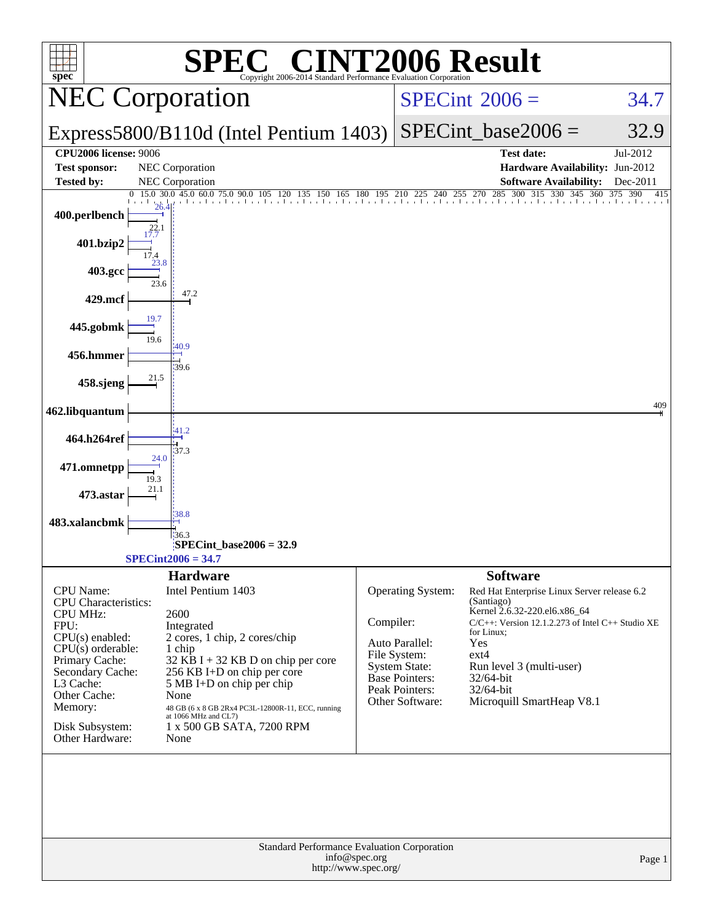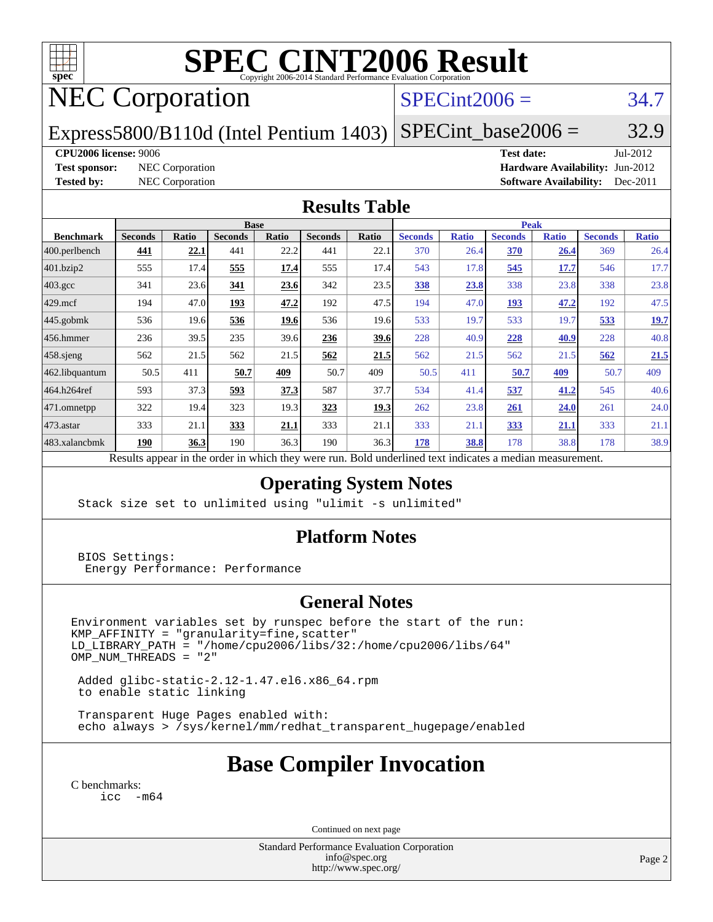

# **[SPEC CINT2006 Result](http://www.spec.org/auto/cpu2006/Docs/result-fields.html#SPECCINT2006Result)**

## NEC Corporation

### $SPECint2006 = 34.7$  $SPECint2006 = 34.7$

Express5800/B110d (Intel Pentium 1403)  $SPECTnt\_base2006 = 32.9$ 

### **[CPU2006 license:](http://www.spec.org/auto/cpu2006/Docs/result-fields.html#CPU2006license)** 9006 **[Test date:](http://www.spec.org/auto/cpu2006/Docs/result-fields.html#Testdate)** Jul-2012

**[Test sponsor:](http://www.spec.org/auto/cpu2006/Docs/result-fields.html#Testsponsor)** NEC Corporation **[Hardware Availability:](http://www.spec.org/auto/cpu2006/Docs/result-fields.html#HardwareAvailability)** Jun-2012 **[Tested by:](http://www.spec.org/auto/cpu2006/Docs/result-fields.html#Testedby)** NEC Corporation **[Software Availability:](http://www.spec.org/auto/cpu2006/Docs/result-fields.html#SoftwareAvailability)** Dec-2011

### **[Results Table](http://www.spec.org/auto/cpu2006/Docs/result-fields.html#ResultsTable)**

|                    |                | <b>Base</b><br><b>Peak</b> |                |       |                |       |                |              |                |              |                |              |
|--------------------|----------------|----------------------------|----------------|-------|----------------|-------|----------------|--------------|----------------|--------------|----------------|--------------|
| <b>Benchmark</b>   | <b>Seconds</b> | Ratio                      | <b>Seconds</b> | Ratio | <b>Seconds</b> | Ratio | <b>Seconds</b> | <b>Ratio</b> | <b>Seconds</b> | <b>Ratio</b> | <b>Seconds</b> | <b>Ratio</b> |
| 400.perlbench      | 441            | 22.1                       | 441            | 22.2  | 441            | 22.1  | 370            | 26.4         | 370            | 26.4         | 369            | 26.4         |
| 401.bzip2          | 555            | 17.4                       | 555            | 17.4  | 555            | 17.4  | 543            | 17.8         | 545            | 17.7         | 546            | 17.7         |
| $403.\mathrm{gcc}$ | 341            | 23.6                       | 341            | 23.6  | 342            | 23.5  | 338            | 23.8         | 338            | 23.8         | 338            | 23.8         |
| $429$ .mcf         | 194            | 47.0                       | 193            | 47.2  | 192            | 47.5  | 194            | 47.0         | <u>193</u>     | 47.2         | 192            | 47.5         |
| $445$ .gobmk       | 536            | 19.6                       | 536            | 19.6  | 536            | 19.6  | 533            | 19.7         | 533            | 19.7         | 533            | 19.7         |
| $456.$ hmmer       | 236            | 39.5                       | 235            | 39.6  | 236            | 39.6  | 228            | 40.9         | 228            | 40.9         | 228            | 40.8         |
| $458$ .sjeng       | 562            | 21.5                       | 562            | 21.5  | 562            | 21.5  | 562            | 21.5         | 562            | 21.5         | 562            | 21.5         |
| 462.libquantum     | 50.5           | 411                        | 50.7           | 409   | 50.7           | 409   | 50.5           | 411          | 50.7           | <u>409</u>   | 50.7           | 409          |
| 464.h264ref        | 593            | 37.3                       | 593            | 37.3  | 587            | 37.7  | 534            | 41.4         | 537            | 41.2         | 545            | 40.6         |
| 471.omnetpp        | 322            | 19.4                       | 323            | 19.3  | 323            | 19.3  | 262            | 23.8         | 261            | 24.0         | 261            | 24.0         |
| 473.astar          | 333            | 21.1                       | 333            | 21.1  | 333            | 21.1  | 333            | 21.1         | 333            | 21.1         | 333            | 21.1         |
| 483.xalancbmk      | <u>190</u>     | 36.3                       | 190            | 36.3  | 190            | 36.3  | <u>178</u>     | 38.8         | 178            | 38.8         | 178            | 38.9         |

Results appear in the [order in which they were run.](http://www.spec.org/auto/cpu2006/Docs/result-fields.html#RunOrder) Bold underlined text [indicates a median measurement.](http://www.spec.org/auto/cpu2006/Docs/result-fields.html#Median)

### **[Operating System Notes](http://www.spec.org/auto/cpu2006/Docs/result-fields.html#OperatingSystemNotes)**

Stack size set to unlimited using "ulimit -s unlimited"

### **[Platform Notes](http://www.spec.org/auto/cpu2006/Docs/result-fields.html#PlatformNotes)**

 BIOS Settings: Energy Performance: Performance

### **[General Notes](http://www.spec.org/auto/cpu2006/Docs/result-fields.html#GeneralNotes)**

Environment variables set by runspec before the start of the run: KMP\_AFFINITY = "granularity=fine,scatter" LD\_LIBRARY\_PATH = "/home/cpu2006/libs/32:/home/cpu2006/libs/64"  $OMP_NUM_THREADS = "2"$ 

 Added glibc-static-2.12-1.47.el6.x86\_64.rpm to enable static linking

 Transparent Huge Pages enabled with: echo always > /sys/kernel/mm/redhat\_transparent\_hugepage/enabled

### **[Base Compiler Invocation](http://www.spec.org/auto/cpu2006/Docs/result-fields.html#BaseCompilerInvocation)**

[C benchmarks](http://www.spec.org/auto/cpu2006/Docs/result-fields.html#Cbenchmarks): [icc -m64](http://www.spec.org/cpu2006/results/res2012q3/cpu2006-20120712-23630.flags.html#user_CCbase_intel_icc_64bit_f346026e86af2a669e726fe758c88044)

Continued on next page

Standard Performance Evaluation Corporation [info@spec.org](mailto:info@spec.org) <http://www.spec.org/>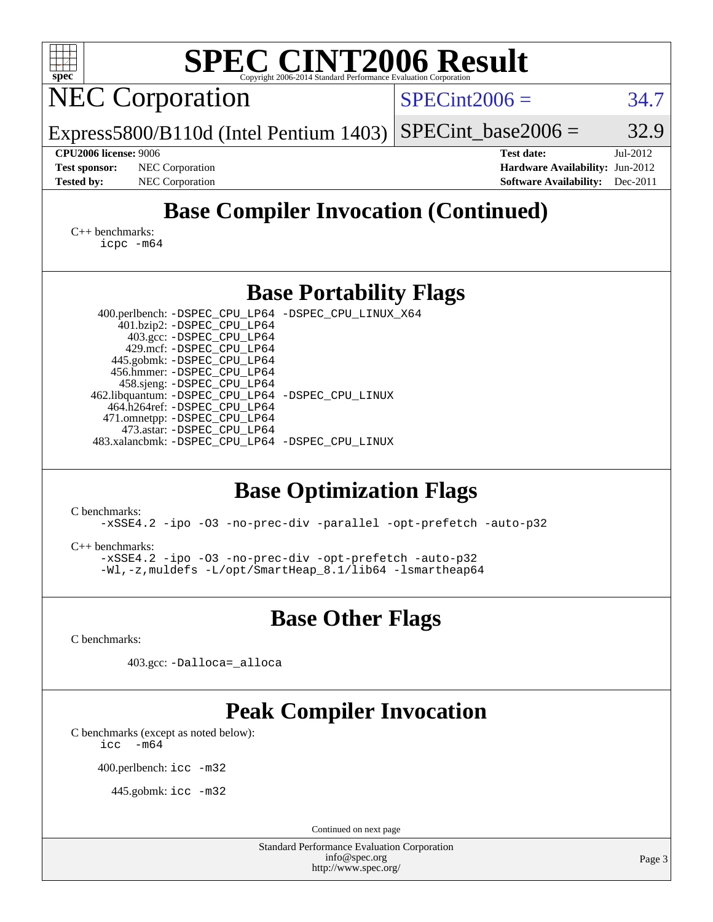| <b>SPEC CINT2006 Result</b><br>spec <sup>®</sup><br>Copyright 2006-2014 Standard Performance Evaluation Corporatio                                                                                                                                                                                                                                                                                                                                                                                                                                                                                                                                                                                                |                                                                                                               |
|-------------------------------------------------------------------------------------------------------------------------------------------------------------------------------------------------------------------------------------------------------------------------------------------------------------------------------------------------------------------------------------------------------------------------------------------------------------------------------------------------------------------------------------------------------------------------------------------------------------------------------------------------------------------------------------------------------------------|---------------------------------------------------------------------------------------------------------------|
| <b>NEC Corporation</b>                                                                                                                                                                                                                                                                                                                                                                                                                                                                                                                                                                                                                                                                                            | $SPECint2006 =$<br>34.7                                                                                       |
| $Express 5800/B110d$ (Intel Pentium 1403)                                                                                                                                                                                                                                                                                                                                                                                                                                                                                                                                                                                                                                                                         | $SPECint base2006 =$<br>32.9                                                                                  |
| <b>CPU2006 license: 9006</b><br><b>NEC</b> Corporation<br><b>Test sponsor:</b><br><b>Tested by:</b><br><b>NEC</b> Corporation                                                                                                                                                                                                                                                                                                                                                                                                                                                                                                                                                                                     | <b>Test date:</b><br>Jul-2012<br>Hardware Availability: Jun-2012<br><b>Software Availability:</b><br>Dec-2011 |
| <b>Base Compiler Invocation (Continued)</b>                                                                                                                                                                                                                                                                                                                                                                                                                                                                                                                                                                                                                                                                       |                                                                                                               |
| $C_{++}$ benchmarks:<br>$icpc$ $-m64$                                                                                                                                                                                                                                                                                                                                                                                                                                                                                                                                                                                                                                                                             |                                                                                                               |
| <b>Base Portability Flags</b>                                                                                                                                                                                                                                                                                                                                                                                                                                                                                                                                                                                                                                                                                     |                                                                                                               |
| 400.perlbench: -DSPEC_CPU_LP64 -DSPEC_CPU_LINUX_X64<br>401.bzip2: -DSPEC_CPU_LP64<br>403.gcc: -DSPEC_CPU_LP64<br>429.mcf: -DSPEC_CPU_LP64<br>445.gobmk: -DSPEC_CPU_LP64<br>456.hmmer: -DSPEC_CPU_LP64<br>458.sjeng: -DSPEC_CPU_LP64<br>462.libquantum: - DSPEC_CPU_LP64 - DSPEC_CPU_LINUX<br>464.h264ref: -DSPEC_CPU_LP64<br>471.omnetpp: -DSPEC_CPU_LP64<br>473.astar: -DSPEC CPU LP64<br>483.xalancbmk: - DSPEC_CPU_LP64 - DSPEC_CPU_LINUX<br><b>Base Optimization Flags</b><br>C benchmarks:<br>-xSSE4.2 -ipo -03 -no-prec-div -parallel -opt-prefetch -auto-p32<br>$C_{++}$ benchmarks:<br>-xSSE4.2 -ipo -03 -no-prec-div -opt-prefetch -auto-p32<br>-Wl,-z, muldefs -L/opt/SmartHeap_8.1/lib64 -lsmartheap64 |                                                                                                               |
| <b>Base Other Flags</b>                                                                                                                                                                                                                                                                                                                                                                                                                                                                                                                                                                                                                                                                                           |                                                                                                               |
| C benchmarks:                                                                                                                                                                                                                                                                                                                                                                                                                                                                                                                                                                                                                                                                                                     |                                                                                                               |
| 403.gcc: -Dalloca=_alloca                                                                                                                                                                                                                                                                                                                                                                                                                                                                                                                                                                                                                                                                                         |                                                                                                               |
| <b>Peak Compiler Invocation</b><br>C benchmarks (except as noted below):<br>$\text{icc}$ -m64                                                                                                                                                                                                                                                                                                                                                                                                                                                                                                                                                                                                                     |                                                                                                               |
| 400.perlbench: icc -m32                                                                                                                                                                                                                                                                                                                                                                                                                                                                                                                                                                                                                                                                                           |                                                                                                               |
| 445.gobmk: $\text{icc}$ -m32                                                                                                                                                                                                                                                                                                                                                                                                                                                                                                                                                                                                                                                                                      |                                                                                                               |
| Continued on next page                                                                                                                                                                                                                                                                                                                                                                                                                                                                                                                                                                                                                                                                                            |                                                                                                               |
| <b>Standard Performance Evaluation Corporation</b><br>info@spec.org<br>http://www.spec.org/                                                                                                                                                                                                                                                                                                                                                                                                                                                                                                                                                                                                                       | Page 3                                                                                                        |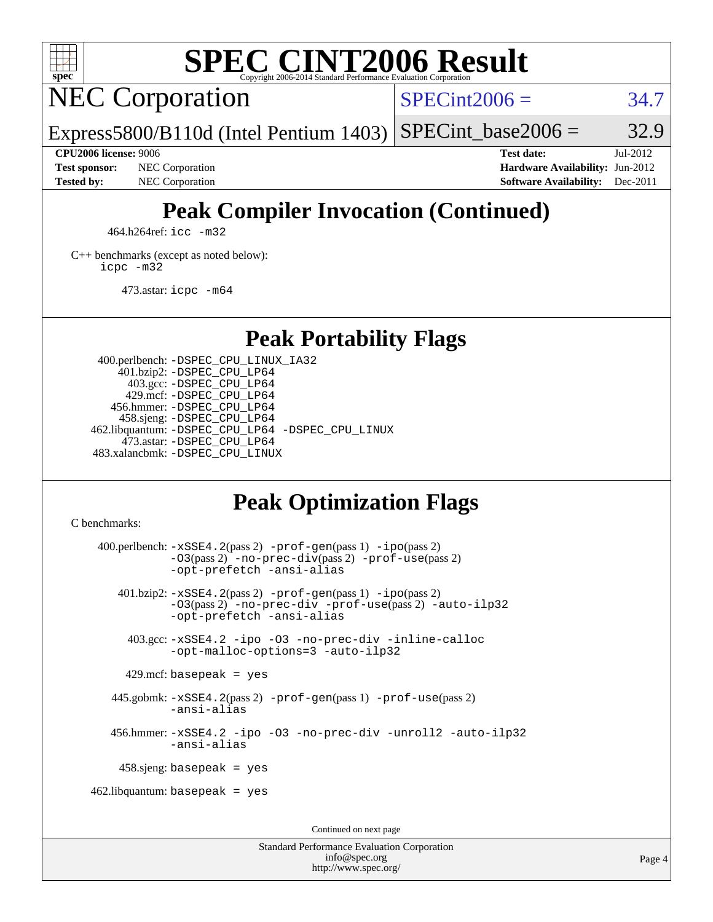

## **[SPEC CINT2006 Result](http://www.spec.org/auto/cpu2006/Docs/result-fields.html#SPECCINT2006Result)**

NEC Corporation

 $SPECint2006 = 34.7$  $SPECint2006 = 34.7$ 

Express5800/B110d (Intel Pentium 1403) SPECint base2006 =  $32.9$ 

**[Test sponsor:](http://www.spec.org/auto/cpu2006/Docs/result-fields.html#Testsponsor)** NEC Corporation **NEC Corporation [Hardware Availability:](http://www.spec.org/auto/cpu2006/Docs/result-fields.html#HardwareAvailability)** Jun-2012

**[CPU2006 license:](http://www.spec.org/auto/cpu2006/Docs/result-fields.html#CPU2006license)** 9006 **[Test date:](http://www.spec.org/auto/cpu2006/Docs/result-fields.html#Testdate)** Jul-2012 **[Tested by:](http://www.spec.org/auto/cpu2006/Docs/result-fields.html#Testedby)** NEC Corporation **[Software Availability:](http://www.spec.org/auto/cpu2006/Docs/result-fields.html#SoftwareAvailability)** Dec-2011

### **[Peak Compiler Invocation \(Continued\)](http://www.spec.org/auto/cpu2006/Docs/result-fields.html#PeakCompilerInvocation)**

464.h264ref: [icc -m32](http://www.spec.org/cpu2006/results/res2012q3/cpu2006-20120712-23630.flags.html#user_peakCCLD464_h264ref_intel_icc_a6a621f8d50482236b970c6ac5f55f93)

[C++ benchmarks \(except as noted below\):](http://www.spec.org/auto/cpu2006/Docs/result-fields.html#CXXbenchmarksexceptasnotedbelow) [icpc -m32](http://www.spec.org/cpu2006/results/res2012q3/cpu2006-20120712-23630.flags.html#user_CXXpeak_intel_icpc_4e5a5ef1a53fd332b3c49e69c3330699)

473.astar: [icpc -m64](http://www.spec.org/cpu2006/results/res2012q3/cpu2006-20120712-23630.flags.html#user_peakCXXLD473_astar_intel_icpc_64bit_fc66a5337ce925472a5c54ad6a0de310)

### **[Peak Portability Flags](http://www.spec.org/auto/cpu2006/Docs/result-fields.html#PeakPortabilityFlags)**

 400.perlbench: [-DSPEC\\_CPU\\_LINUX\\_IA32](http://www.spec.org/cpu2006/results/res2012q3/cpu2006-20120712-23630.flags.html#b400.perlbench_peakCPORTABILITY_DSPEC_CPU_LINUX_IA32) 401.bzip2: [-DSPEC\\_CPU\\_LP64](http://www.spec.org/cpu2006/results/res2012q3/cpu2006-20120712-23630.flags.html#suite_peakPORTABILITY401_bzip2_DSPEC_CPU_LP64) 403.gcc: [-DSPEC\\_CPU\\_LP64](http://www.spec.org/cpu2006/results/res2012q3/cpu2006-20120712-23630.flags.html#suite_peakPORTABILITY403_gcc_DSPEC_CPU_LP64) 429.mcf: [-DSPEC\\_CPU\\_LP64](http://www.spec.org/cpu2006/results/res2012q3/cpu2006-20120712-23630.flags.html#suite_peakPORTABILITY429_mcf_DSPEC_CPU_LP64) 456.hmmer: [-DSPEC\\_CPU\\_LP64](http://www.spec.org/cpu2006/results/res2012q3/cpu2006-20120712-23630.flags.html#suite_peakPORTABILITY456_hmmer_DSPEC_CPU_LP64) 458.sjeng: [-DSPEC\\_CPU\\_LP64](http://www.spec.org/cpu2006/results/res2012q3/cpu2006-20120712-23630.flags.html#suite_peakPORTABILITY458_sjeng_DSPEC_CPU_LP64) 462.libquantum: [-DSPEC\\_CPU\\_LP64](http://www.spec.org/cpu2006/results/res2012q3/cpu2006-20120712-23630.flags.html#suite_peakPORTABILITY462_libquantum_DSPEC_CPU_LP64) [-DSPEC\\_CPU\\_LINUX](http://www.spec.org/cpu2006/results/res2012q3/cpu2006-20120712-23630.flags.html#b462.libquantum_peakCPORTABILITY_DSPEC_CPU_LINUX) 473.astar: [-DSPEC\\_CPU\\_LP64](http://www.spec.org/cpu2006/results/res2012q3/cpu2006-20120712-23630.flags.html#suite_peakPORTABILITY473_astar_DSPEC_CPU_LP64) 483.xalancbmk: [-DSPEC\\_CPU\\_LINUX](http://www.spec.org/cpu2006/results/res2012q3/cpu2006-20120712-23630.flags.html#b483.xalancbmk_peakCXXPORTABILITY_DSPEC_CPU_LINUX)

### **[Peak Optimization Flags](http://www.spec.org/auto/cpu2006/Docs/result-fields.html#PeakOptimizationFlags)**

[C benchmarks](http://www.spec.org/auto/cpu2006/Docs/result-fields.html#Cbenchmarks):

 400.perlbench: [-xSSE4.2](http://www.spec.org/cpu2006/results/res2012q3/cpu2006-20120712-23630.flags.html#user_peakPASS2_CFLAGSPASS2_LDCFLAGS400_perlbench_f-xSSE42_f91528193cf0b216347adb8b939d4107)(pass 2) [-prof-gen](http://www.spec.org/cpu2006/results/res2012q3/cpu2006-20120712-23630.flags.html#user_peakPASS1_CFLAGSPASS1_LDCFLAGS400_perlbench_prof_gen_e43856698f6ca7b7e442dfd80e94a8fc)(pass 1) [-ipo](http://www.spec.org/cpu2006/results/res2012q3/cpu2006-20120712-23630.flags.html#user_peakPASS2_CFLAGSPASS2_LDCFLAGS400_perlbench_f-ipo)(pass 2) [-O3](http://www.spec.org/cpu2006/results/res2012q3/cpu2006-20120712-23630.flags.html#user_peakPASS2_CFLAGSPASS2_LDCFLAGS400_perlbench_f-O3)(pass 2) [-no-prec-div](http://www.spec.org/cpu2006/results/res2012q3/cpu2006-20120712-23630.flags.html#user_peakPASS2_CFLAGSPASS2_LDCFLAGS400_perlbench_f-no-prec-div)(pass 2) [-prof-use](http://www.spec.org/cpu2006/results/res2012q3/cpu2006-20120712-23630.flags.html#user_peakPASS2_CFLAGSPASS2_LDCFLAGS400_perlbench_prof_use_bccf7792157ff70d64e32fe3e1250b55)(pass 2) [-opt-prefetch](http://www.spec.org/cpu2006/results/res2012q3/cpu2006-20120712-23630.flags.html#user_peakCOPTIMIZE400_perlbench_f-opt-prefetch) [-ansi-alias](http://www.spec.org/cpu2006/results/res2012q3/cpu2006-20120712-23630.flags.html#user_peakCOPTIMIZE400_perlbench_f-ansi-alias) 401.bzip2: [-xSSE4.2](http://www.spec.org/cpu2006/results/res2012q3/cpu2006-20120712-23630.flags.html#user_peakPASS2_CFLAGSPASS2_LDCFLAGS401_bzip2_f-xSSE42_f91528193cf0b216347adb8b939d4107)(pass 2) [-prof-gen](http://www.spec.org/cpu2006/results/res2012q3/cpu2006-20120712-23630.flags.html#user_peakPASS1_CFLAGSPASS1_LDCFLAGS401_bzip2_prof_gen_e43856698f6ca7b7e442dfd80e94a8fc)(pass 1) [-ipo](http://www.spec.org/cpu2006/results/res2012q3/cpu2006-20120712-23630.flags.html#user_peakPASS2_CFLAGSPASS2_LDCFLAGS401_bzip2_f-ipo)(pass 2) [-O3](http://www.spec.org/cpu2006/results/res2012q3/cpu2006-20120712-23630.flags.html#user_peakPASS2_CFLAGSPASS2_LDCFLAGS401_bzip2_f-O3)(pass 2) [-no-prec-div](http://www.spec.org/cpu2006/results/res2012q3/cpu2006-20120712-23630.flags.html#user_peakCOPTIMIZEPASS2_CFLAGSPASS2_LDCFLAGS401_bzip2_f-no-prec-div) [-prof-use](http://www.spec.org/cpu2006/results/res2012q3/cpu2006-20120712-23630.flags.html#user_peakPASS2_CFLAGSPASS2_LDCFLAGS401_bzip2_prof_use_bccf7792157ff70d64e32fe3e1250b55)(pass 2) [-auto-ilp32](http://www.spec.org/cpu2006/results/res2012q3/cpu2006-20120712-23630.flags.html#user_peakCOPTIMIZE401_bzip2_f-auto-ilp32) [-opt-prefetch](http://www.spec.org/cpu2006/results/res2012q3/cpu2006-20120712-23630.flags.html#user_peakCOPTIMIZE401_bzip2_f-opt-prefetch) [-ansi-alias](http://www.spec.org/cpu2006/results/res2012q3/cpu2006-20120712-23630.flags.html#user_peakCOPTIMIZE401_bzip2_f-ansi-alias) 403.gcc: [-xSSE4.2](http://www.spec.org/cpu2006/results/res2012q3/cpu2006-20120712-23630.flags.html#user_peakCOPTIMIZE403_gcc_f-xSSE42_f91528193cf0b216347adb8b939d4107) [-ipo](http://www.spec.org/cpu2006/results/res2012q3/cpu2006-20120712-23630.flags.html#user_peakCOPTIMIZE403_gcc_f-ipo) [-O3](http://www.spec.org/cpu2006/results/res2012q3/cpu2006-20120712-23630.flags.html#user_peakCOPTIMIZE403_gcc_f-O3) [-no-prec-div](http://www.spec.org/cpu2006/results/res2012q3/cpu2006-20120712-23630.flags.html#user_peakCOPTIMIZE403_gcc_f-no-prec-div) [-inline-calloc](http://www.spec.org/cpu2006/results/res2012q3/cpu2006-20120712-23630.flags.html#user_peakCOPTIMIZE403_gcc_f-inline-calloc) [-opt-malloc-options=3](http://www.spec.org/cpu2006/results/res2012q3/cpu2006-20120712-23630.flags.html#user_peakCOPTIMIZE403_gcc_f-opt-malloc-options_13ab9b803cf986b4ee62f0a5998c2238) [-auto-ilp32](http://www.spec.org/cpu2006/results/res2012q3/cpu2006-20120712-23630.flags.html#user_peakCOPTIMIZE403_gcc_f-auto-ilp32)  $429$ .mcf: basepeak = yes 445.gobmk: [-xSSE4.2](http://www.spec.org/cpu2006/results/res2012q3/cpu2006-20120712-23630.flags.html#user_peakPASS2_CFLAGSPASS2_LDCFLAGS445_gobmk_f-xSSE42_f91528193cf0b216347adb8b939d4107)(pass 2) [-prof-gen](http://www.spec.org/cpu2006/results/res2012q3/cpu2006-20120712-23630.flags.html#user_peakPASS1_CFLAGSPASS1_LDCFLAGS445_gobmk_prof_gen_e43856698f6ca7b7e442dfd80e94a8fc)(pass 1) [-prof-use](http://www.spec.org/cpu2006/results/res2012q3/cpu2006-20120712-23630.flags.html#user_peakPASS2_CFLAGSPASS2_LDCFLAGS445_gobmk_prof_use_bccf7792157ff70d64e32fe3e1250b55)(pass 2) [-ansi-alias](http://www.spec.org/cpu2006/results/res2012q3/cpu2006-20120712-23630.flags.html#user_peakCOPTIMIZE445_gobmk_f-ansi-alias) 456.hmmer: [-xSSE4.2](http://www.spec.org/cpu2006/results/res2012q3/cpu2006-20120712-23630.flags.html#user_peakCOPTIMIZE456_hmmer_f-xSSE42_f91528193cf0b216347adb8b939d4107) [-ipo](http://www.spec.org/cpu2006/results/res2012q3/cpu2006-20120712-23630.flags.html#user_peakCOPTIMIZE456_hmmer_f-ipo) [-O3](http://www.spec.org/cpu2006/results/res2012q3/cpu2006-20120712-23630.flags.html#user_peakCOPTIMIZE456_hmmer_f-O3) [-no-prec-div](http://www.spec.org/cpu2006/results/res2012q3/cpu2006-20120712-23630.flags.html#user_peakCOPTIMIZE456_hmmer_f-no-prec-div) [-unroll2](http://www.spec.org/cpu2006/results/res2012q3/cpu2006-20120712-23630.flags.html#user_peakCOPTIMIZE456_hmmer_f-unroll_784dae83bebfb236979b41d2422d7ec2) [-auto-ilp32](http://www.spec.org/cpu2006/results/res2012q3/cpu2006-20120712-23630.flags.html#user_peakCOPTIMIZE456_hmmer_f-auto-ilp32) [-ansi-alias](http://www.spec.org/cpu2006/results/res2012q3/cpu2006-20120712-23630.flags.html#user_peakCOPTIMIZE456_hmmer_f-ansi-alias) 458.sjeng: basepeak = yes  $462$ .libquantum: basepeak = yes Continued on next page

> Standard Performance Evaluation Corporation [info@spec.org](mailto:info@spec.org) <http://www.spec.org/>